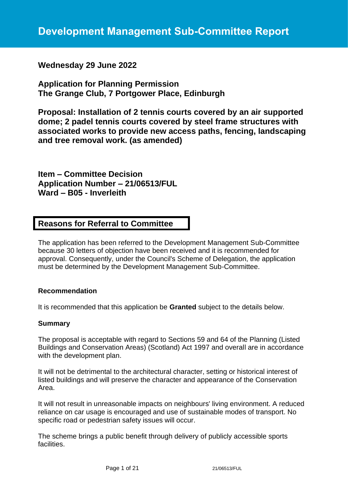# **Wednesday 29 June 2022**

**Application for Planning Permission The Grange Club, 7 Portgower Place, Edinburgh**

**Proposal: Installation of 2 tennis courts covered by an air supported dome; 2 padel tennis courts covered by steel frame structures with associated works to provide new access paths, fencing, landscaping and tree removal work. (as amended)**

**Item – Committee Decision Application Number – 21/06513/FUL Ward – B05 - Inverleith**

# **Reasons for Referral to Committee**

The application has been referred to the Development Management Sub-Committee because 30 letters of objection have been received and it is recommended for approval. Consequently, under the Council's Scheme of Delegation, the application must be determined by the Development Management Sub-Committee.

## **Recommendation**

It is recommended that this application be **Granted** subject to the details below.

#### **Summary**

The proposal is acceptable with regard to Sections 59 and 64 of the Planning (Listed Buildings and Conservation Areas) (Scotland) Act 1997 and overall are in accordance with the development plan.

It will not be detrimental to the architectural character, setting or historical interest of listed buildings and will preserve the character and appearance of the Conservation Area.

It will not result in unreasonable impacts on neighbours' living environment. A reduced reliance on car usage is encouraged and use of sustainable modes of transport. No specific road or pedestrian safety issues will occur.

The scheme brings a public benefit through delivery of publicly accessible sports facilities.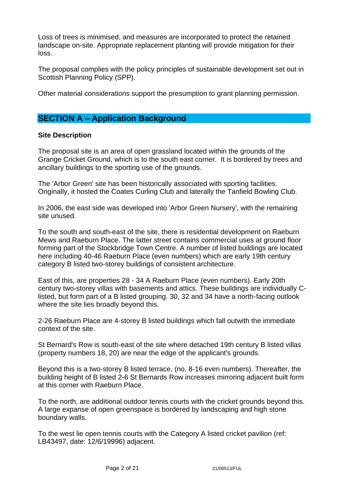Loss of trees is minimised, and measures are incorporated to protect the retained landscape on-site. Appropriate replacement planting will provide mitigation for their loss.

The proposal complies with the policy principles of sustainable development set out in Scottish Planning Policy (SPP).

Other material considerations support the presumption to grant planning permission.

# **SECTION A – Application Background**

## **Site Description**

The proposal site is an area of open grassland located within the grounds of the Grange Cricket Ground, which is to the south east corner. It is bordered by trees and ancillary buildings to the sporting use of the grounds.

The 'Arbor Green' site has been historically associated with sporting facilities. Originally, it hosted the Coates Curling Club and laterally the Tanfield Bowling Club.

In 2006, the east side was developed into 'Arbor Green Nursery', with the remaining site unused.

To the south and south-east of the site, there is residential development on Raeburn Mews and Raeburn Place. The latter street contains commercial uses at ground floor forming part of the Stockbridge Town Centre. A number of listed buildings are located here including 40-46 Raeburn Place (even numbers) which are early 19th century category B listed two-storey buildings of consistent architecture.

East of this, are properties 28 - 34 A Raeburn Place (even numbers). Early 20th century two-storey villas with basements and attics. These buildings are individually Clisted, but form part of a B listed grouping. 30, 32 and 34 have a north-facing outlook where the site lies broadly beyond this.

2-26 Raeburn Place are 4-storey B listed buildings which fall outwith the immediate context of the site.

St Bernard's Row is south-east of the site where detached 19th century B listed villas (property numbers 18, 20) are near the edge of the applicant's grounds.

Beyond this is a two-storey B listed terrace, (no. 8-16 even numbers). Thereafter, the building height of B listed 2-6 St Bernards Row increases mirroring adjacent built form at this corner with Raeburn Place.

To the north, are additional outdoor tennis courts with the cricket grounds beyond this. A large expanse of open greenspace is bordered by landscaping and high stone boundary walls.

To the west lie open tennis courts with the Category A listed cricket pavilion (ref: LB43497, date: 12/6/19996) adjacent.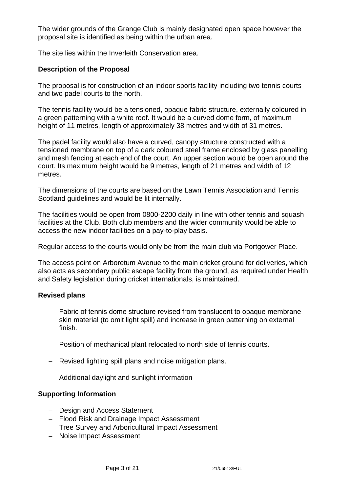The wider grounds of the Grange Club is mainly designated open space however the proposal site is identified as being within the urban area.

The site lies within the Inverleith Conservation area.

## **Description of the Proposal**

The proposal is for construction of an indoor sports facility including two tennis courts and two padel courts to the north.

The tennis facility would be a tensioned, opaque fabric structure, externally coloured in a green patterning with a white roof. It would be a curved dome form, of maximum height of 11 metres, length of approximately 38 metres and width of 31 metres.

The padel facility would also have a curved, canopy structure constructed with a tensioned membrane on top of a dark coloured steel frame enclosed by glass panelling and mesh fencing at each end of the court. An upper section would be open around the court. Its maximum height would be 9 metres, length of 21 metres and width of 12 metres.

The dimensions of the courts are based on the Lawn Tennis Association and Tennis Scotland guidelines and would be lit internally.

The facilities would be open from 0800-2200 daily in line with other tennis and squash facilities at the Club. Both club members and the wider community would be able to access the new indoor facilities on a pay-to-play basis.

Regular access to the courts would only be from the main club via Portgower Place.

The access point on Arboretum Avenue to the main cricket ground for deliveries, which also acts as secondary public escape facility from the ground, as required under Health and Safety legislation during cricket internationals, is maintained.

## **Revised plans**

- − Fabric of tennis dome structure revised from translucent to opaque membrane skin material (to omit light spill) and increase in green patterning on external finish.
- − Position of mechanical plant relocated to north side of tennis courts.
- − Revised lighting spill plans and noise mitigation plans.
- − Additional daylight and sunlight information

## **Supporting Information**

- − Design and Access Statement
- − Flood Risk and Drainage Impact Assessment
- − Tree Survey and Arboricultural Impact Assessment
- − Noise Impact Assessment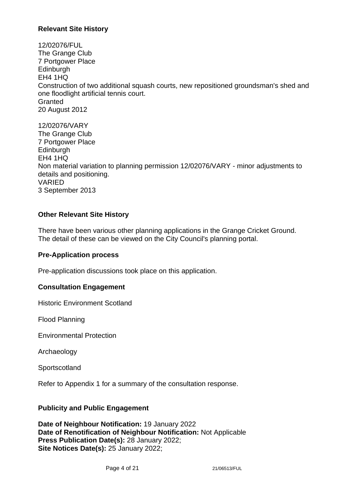## **Relevant Site History**

12/02076/FUL The Grange Club 7 Portgower Place **Edinburgh** EH4 1HQ Construction of two additional squash courts, new repositioned groundsman's shed and one floodlight artificial tennis court. **Granted** 20 August 2012

12/02076/VARY The Grange Club 7 Portgower Place **Edinburgh** EH4 1HQ Non material variation to planning permission 12/02076/VARY - minor adjustments to details and positioning. VARIED 3 September 2013

## **Other Relevant Site History**

There have been various other planning applications in the Grange Cricket Ground. The detail of these can be viewed on the City Council's planning portal.

## **Pre-Application process**

Pre-application discussions took place on this application.

#### **Consultation Engagement**

Historic Environment Scotland

Flood Planning

Environmental Protection

Archaeology

**Sportscotland** 

Refer to Appendix 1 for a summary of the consultation response.

#### **Publicity and Public Engagement**

**Date of Neighbour Notification:** 19 January 2022 **Date of Renotification of Neighbour Notification:** Not Applicable **Press Publication Date(s):** 28 January 2022; **Site Notices Date(s):** 25 January 2022;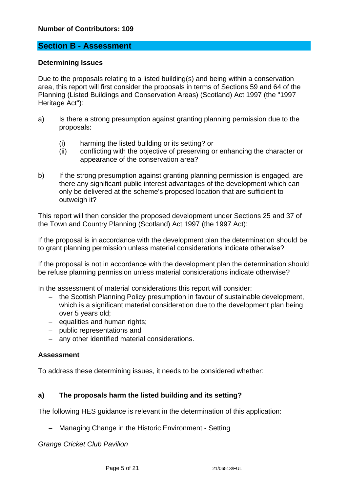# **Section B - Assessment**

#### **Determining Issues**

Due to the proposals relating to a listed building(s) and being within a conservation area, this report will first consider the proposals in terms of Sections 59 and 64 of the Planning (Listed Buildings and Conservation Areas) (Scotland) Act 1997 (the "1997 Heritage Act"):

- a) Is there a strong presumption against granting planning permission due to the proposals:
	- (i) harming the listed building or its setting? or
	- (ii) conflicting with the objective of preserving or enhancing the character or appearance of the conservation area?
- b) If the strong presumption against granting planning permission is engaged, are there any significant public interest advantages of the development which can only be delivered at the scheme's proposed location that are sufficient to outweigh it?

This report will then consider the proposed development under Sections 25 and 37 of the Town and Country Planning (Scotland) Act 1997 (the 1997 Act):

If the proposal is in accordance with the development plan the determination should be to grant planning permission unless material considerations indicate otherwise?

If the proposal is not in accordance with the development plan the determination should be refuse planning permission unless material considerations indicate otherwise?

In the assessment of material considerations this report will consider:

- − the Scottish Planning Policy presumption in favour of sustainable development, which is a significant material consideration due to the development plan being over 5 years old;
- − equalities and human rights;
- − public representations and
- − any other identified material considerations.

#### **Assessment**

To address these determining issues, it needs to be considered whether:

## **a) The proposals harm the listed building and its setting?**

The following HES guidance is relevant in the determination of this application:

− Managing Change in the Historic Environment - Setting

*Grange Cricket Club Pavilion*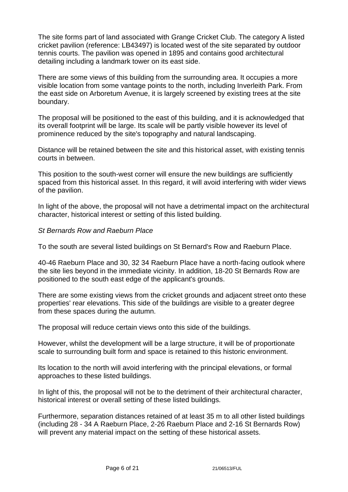The site forms part of land associated with Grange Cricket Club. The category A listed cricket pavilion (reference: LB43497) is located west of the site separated by outdoor tennis courts. The pavilion was opened in 1895 and contains good architectural detailing including a landmark tower on its east side.

There are some views of this building from the surrounding area. It occupies a more visible location from some vantage points to the north, including Inverleith Park. From the east side on Arboretum Avenue, it is largely screened by existing trees at the site boundary.

The proposal will be positioned to the east of this building, and it is acknowledged that its overall footprint will be large. Its scale will be partly visible however its level of prominence reduced by the site's topography and natural landscaping.

Distance will be retained between the site and this historical asset, with existing tennis courts in between.

This position to the south-west corner will ensure the new buildings are sufficiently spaced from this historical asset. In this regard, it will avoid interfering with wider views of the pavilion.

In light of the above, the proposal will not have a detrimental impact on the architectural character, historical interest or setting of this listed building.

## *St Bernards Row and Raeburn Place*

To the south are several listed buildings on St Bernard's Row and Raeburn Place.

40-46 Raeburn Place and 30, 32 34 Raeburn Place have a north-facing outlook where the site lies beyond in the immediate vicinity. In addition, 18-20 St Bernards Row are positioned to the south east edge of the applicant's grounds.

There are some existing views from the cricket grounds and adjacent street onto these properties' rear elevations. This side of the buildings are visible to a greater degree from these spaces during the autumn.

The proposal will reduce certain views onto this side of the buildings.

However, whilst the development will be a large structure, it will be of proportionate scale to surrounding built form and space is retained to this historic environment.

Its location to the north will avoid interfering with the principal elevations, or formal approaches to these listed buildings.

In light of this, the proposal will not be to the detriment of their architectural character, historical interest or overall setting of these listed buildings.

Furthermore, separation distances retained of at least 35 m to all other listed buildings (including 28 - 34 A Raeburn Place, 2-26 Raeburn Place and 2-16 St Bernards Row) will prevent any material impact on the setting of these historical assets.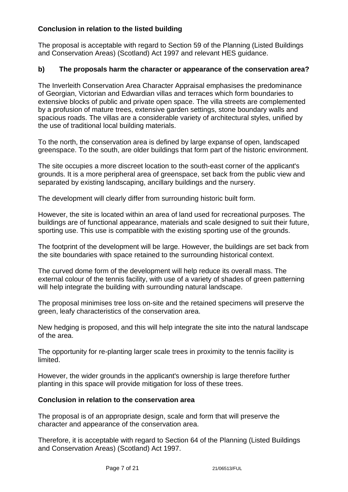# **Conclusion in relation to the listed building**

The proposal is acceptable with regard to Section 59 of the Planning (Listed Buildings and Conservation Areas) (Scotland) Act 1997 and relevant HES guidance.

# **b) The proposals harm the character or appearance of the conservation area?**

The Inverleith Conservation Area Character Appraisal emphasises the predominance of Georgian, Victorian and Edwardian villas and terraces which form boundaries to extensive blocks of public and private open space. The villa streets are complemented by a profusion of mature trees, extensive garden settings, stone boundary walls and spacious roads. The villas are a considerable variety of architectural styles, unified by the use of traditional local building materials.

To the north, the conservation area is defined by large expanse of open, landscaped greenspace. To the south, are older buildings that form part of the historic environment.

The site occupies a more discreet location to the south-east corner of the applicant's grounds. It is a more peripheral area of greenspace, set back from the public view and separated by existing landscaping, ancillary buildings and the nursery.

The development will clearly differ from surrounding historic built form.

However, the site is located within an area of land used for recreational purposes. The buildings are of functional appearance, materials and scale designed to suit their future, sporting use. This use is compatible with the existing sporting use of the grounds.

The footprint of the development will be large. However, the buildings are set back from the site boundaries with space retained to the surrounding historical context.

The curved dome form of the development will help reduce its overall mass. The external colour of the tennis facility, with use of a variety of shades of green patterning will help integrate the building with surrounding natural landscape.

The proposal minimises tree loss on-site and the retained specimens will preserve the green, leafy characteristics of the conservation area.

New hedging is proposed, and this will help integrate the site into the natural landscape of the area.

The opportunity for re-planting larger scale trees in proximity to the tennis facility is limited.

However, the wider grounds in the applicant's ownership is large therefore further planting in this space will provide mitigation for loss of these trees.

## **Conclusion in relation to the conservation area**

The proposal is of an appropriate design, scale and form that will preserve the character and appearance of the conservation area.

Therefore, it is acceptable with regard to Section 64 of the Planning (Listed Buildings and Conservation Areas) (Scotland) Act 1997.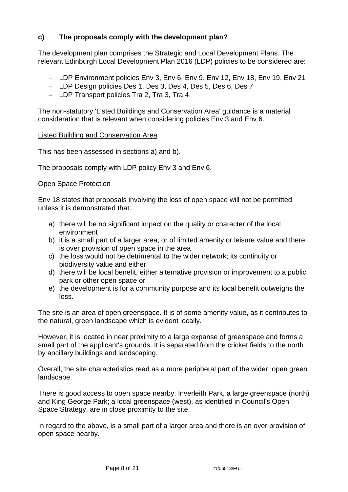# **c) The proposals comply with the development plan?**

The development plan comprises the Strategic and Local Development Plans. The relevant Edinburgh Local Development Plan 2016 (LDP) policies to be considered are:

- − LDP Environment policies Env 3, Env 6, Env 9, Env 12, Env 18, Env 19, Env 21
- − LDP Design policies Des 1, Des 3, Des 4, Des 5, Des 6, Des 7
- − LDP Transport policies Tra 2, Tra 3, Tra 4

The non-statutory 'Listed Buildings and Conservation Area' guidance is a material consideration that is relevant when considering policies Env 3 and Env 6.

#### Listed Building and Conservation Area

This has been assessed in sections a) and b).

The proposals comply with LDP policy Env 3 and Env 6.

#### Open Space Protection

Env 18 states that proposals involving the loss of open space will not be permitted unless it is demonstrated that:

- a) there will be no significant impact on the quality or character of the local environment
- b) it is a small part of a larger area, or of limited amenity or leisure value and there is over provision of open space in the area
- c) the loss would not be detrimental to the wider network; its continuity or biodiversity value and either
- d) there will be local benefit, either alternative provision or improvement to a public park or other open space or
- e) the development is for a community purpose and its local benefit outweighs the loss.

The site is an area of open greenspace. It is of some amenity value, as it contributes to the natural, green landscape which is evident locally.

However, it is located in near proximity to a large expanse of greenspace and forms a small part of the applicant's grounds. It is separated from the cricket fields to the north by ancillary buildings and landscaping.

Overall, the site characteristics read as a more peripheral part of the wider, open green landscape.

There is good access to open space nearby. Inverleith Park, a large greenspace (north) and King George Park; a local greenspace (west), as identified in Council's Open Space Strategy, are in close proximity to the site.

In regard to the above, is a small part of a larger area and there is an over provision of open space nearby.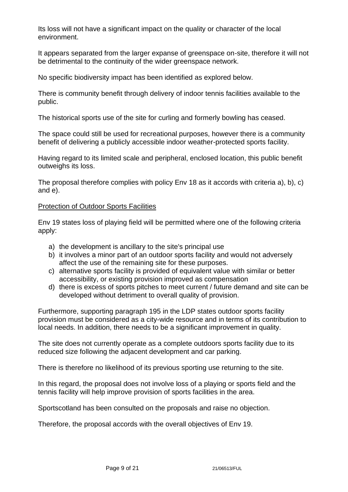Its loss will not have a significant impact on the quality or character of the local environment.

It appears separated from the larger expanse of greenspace on-site, therefore it will not be detrimental to the continuity of the wider greenspace network.

No specific biodiversity impact has been identified as explored below.

There is community benefit through delivery of indoor tennis facilities available to the public.

The historical sports use of the site for curling and formerly bowling has ceased.

The space could still be used for recreational purposes, however there is a community benefit of delivering a publicly accessible indoor weather-protected sports facility.

Having regard to its limited scale and peripheral, enclosed location, this public benefit outweighs its loss.

The proposal therefore complies with policy Env 18 as it accords with criteria a), b), c) and e).

## Protection of Outdoor Sports Facilities

Env 19 states loss of playing field will be permitted where one of the following criteria apply:

- a) the development is ancillary to the site's principal use
- b) it involves a minor part of an outdoor sports facility and would not adversely affect the use of the remaining site for these purposes.
- c) alternative sports facility is provided of equivalent value with similar or better accessibility, or existing provision improved as compensation
- d) there is excess of sports pitches to meet current / future demand and site can be developed without detriment to overall quality of provision.

Furthermore, supporting paragraph 195 in the LDP states outdoor sports facility provision must be considered as a city-wide resource and in terms of its contribution to local needs. In addition, there needs to be a significant improvement in quality.

The site does not currently operate as a complete outdoors sports facility due to its reduced size following the adjacent development and car parking.

There is therefore no likelihood of its previous sporting use returning to the site.

In this regard, the proposal does not involve loss of a playing or sports field and the tennis facility will help improve provision of sports facilities in the area.

Sportscotland has been consulted on the proposals and raise no objection.

Therefore, the proposal accords with the overall objectives of Env 19.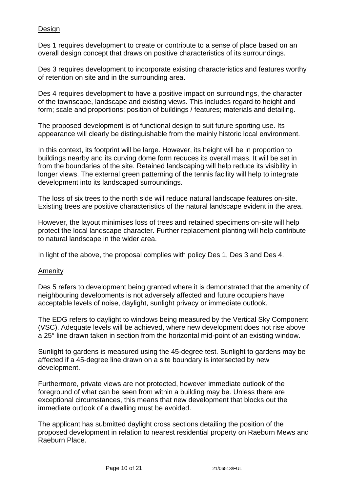## Design

Des 1 requires development to create or contribute to a sense of place based on an overall design concept that draws on positive characteristics of its surroundings.

Des 3 requires development to incorporate existing characteristics and features worthy of retention on site and in the surrounding area.

Des 4 requires development to have a positive impact on surroundings, the character of the townscape, landscape and existing views. This includes regard to height and form; scale and proportions; position of buildings / features; materials and detailing.

The proposed development is of functional design to suit future sporting use. Its appearance will clearly be distinguishable from the mainly historic local environment.

In this context, its footprint will be large. However, its height will be in proportion to buildings nearby and its curving dome form reduces its overall mass. It will be set in from the boundaries of the site. Retained landscaping will help reduce its visibility in longer views. The external green patterning of the tennis facility will help to integrate development into its landscaped surroundings.

The loss of six trees to the north side will reduce natural landscape features on-site. Existing trees are positive characteristics of the natural landscape evident in the area.

However, the layout minimises loss of trees and retained specimens on-site will help protect the local landscape character. Further replacement planting will help contribute to natural landscape in the wider area.

In light of the above, the proposal complies with policy Des 1, Des 3 and Des 4.

## **Amenity**

Des 5 refers to development being granted where it is demonstrated that the amenity of neighbouring developments is not adversely affected and future occupiers have acceptable levels of noise, daylight, sunlight privacy or immediate outlook.

The EDG refers to daylight to windows being measured by the Vertical Sky Component (VSC). Adequate levels will be achieved, where new development does not rise above a 25° line drawn taken in section from the horizontal mid-point of an existing window.

Sunlight to gardens is measured using the 45-degree test. Sunlight to gardens may be affected if a 45-degree line drawn on a site boundary is intersected by new development.

Furthermore, private views are not protected, however immediate outlook of the foreground of what can be seen from within a building may be. Unless there are exceptional circumstances, this means that new development that blocks out the immediate outlook of a dwelling must be avoided.

The applicant has submitted daylight cross sections detailing the position of the proposed development in relation to nearest residential property on Raeburn Mews and Raeburn Place.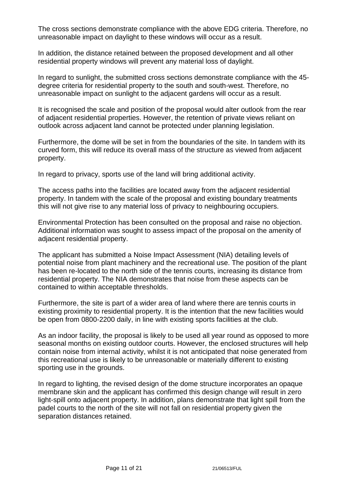The cross sections demonstrate compliance with the above EDG criteria. Therefore, no unreasonable impact on daylight to these windows will occur as a result.

In addition, the distance retained between the proposed development and all other residential property windows will prevent any material loss of daylight.

In regard to sunlight, the submitted cross sections demonstrate compliance with the 45 degree criteria for residential property to the south and south-west. Therefore, no unreasonable impact on sunlight to the adjacent gardens will occur as a result.

It is recognised the scale and position of the proposal would alter outlook from the rear of adjacent residential properties. However, the retention of private views reliant on outlook across adjacent land cannot be protected under planning legislation.

Furthermore, the dome will be set in from the boundaries of the site. In tandem with its curved form, this will reduce its overall mass of the structure as viewed from adjacent property.

In regard to privacy, sports use of the land will bring additional activity.

The access paths into the facilities are located away from the adjacent residential property. In tandem with the scale of the proposal and existing boundary treatments this will not give rise to any material loss of privacy to neighbouring occupiers.

Environmental Protection has been consulted on the proposal and raise no objection. Additional information was sought to assess impact of the proposal on the amenity of adjacent residential property.

The applicant has submitted a Noise Impact Assessment (NIA) detailing levels of potential noise from plant machinery and the recreational use. The position of the plant has been re-located to the north side of the tennis courts, increasing its distance from residential property. The NIA demonstrates that noise from these aspects can be contained to within acceptable thresholds.

Furthermore, the site is part of a wider area of land where there are tennis courts in existing proximity to residential property. It is the intention that the new facilities would be open from 0800-2200 daily, in line with existing sports facilities at the club.

As an indoor facility, the proposal is likely to be used all year round as opposed to more seasonal months on existing outdoor courts. However, the enclosed structures will help contain noise from internal activity, whilst it is not anticipated that noise generated from this recreational use is likely to be unreasonable or materially different to existing sporting use in the grounds.

In regard to lighting, the revised design of the dome structure incorporates an opaque membrane skin and the applicant has confirmed this design change will result in zero light-spill onto adjacent property. In addition, plans demonstrate that light spill from the padel courts to the north of the site will not fall on residential property given the separation distances retained.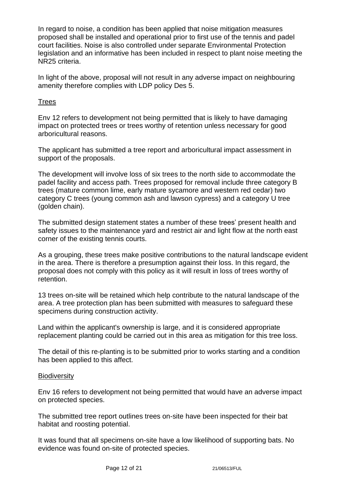In regard to noise, a condition has been applied that noise mitigation measures proposed shall be installed and operational prior to first use of the tennis and padel court facilities. Noise is also controlled under separate Environmental Protection legislation and an informative has been included in respect to plant noise meeting the NR25 criteria.

In light of the above, proposal will not result in any adverse impact on neighbouring amenity therefore complies with LDP policy Des 5.

## **Trees**

Env 12 refers to development not being permitted that is likely to have damaging impact on protected trees or trees worthy of retention unless necessary for good arboricultural reasons.

The applicant has submitted a tree report and arboricultural impact assessment in support of the proposals.

The development will involve loss of six trees to the north side to accommodate the padel facility and access path. Trees proposed for removal include three category B trees (mature common lime, early mature sycamore and western red cedar) two category C trees (young common ash and lawson cypress) and a category U tree (golden chain).

The submitted design statement states a number of these trees' present health and safety issues to the maintenance yard and restrict air and light flow at the north east corner of the existing tennis courts.

As a grouping, these trees make positive contributions to the natural landscape evident in the area. There is therefore a presumption against their loss. In this regard, the proposal does not comply with this policy as it will result in loss of trees worthy of retention.

13 trees on-site will be retained which help contribute to the natural landscape of the area. A tree protection plan has been submitted with measures to safeguard these specimens during construction activity.

Land within the applicant's ownership is large, and it is considered appropriate replacement planting could be carried out in this area as mitigation for this tree loss.

The detail of this re-planting is to be submitted prior to works starting and a condition has been applied to this affect.

## **Biodiversity**

Env 16 refers to development not being permitted that would have an adverse impact on protected species.

The submitted tree report outlines trees on-site have been inspected for their bat habitat and roosting potential.

It was found that all specimens on-site have a low likelihood of supporting bats. No evidence was found on-site of protected species.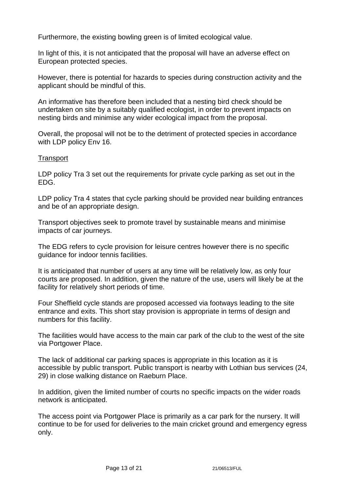Furthermore, the existing bowling green is of limited ecological value.

In light of this, it is not anticipated that the proposal will have an adverse effect on European protected species.

However, there is potential for hazards to species during construction activity and the applicant should be mindful of this.

An informative has therefore been included that a nesting bird check should be undertaken on site by a suitably qualified ecologist, in order to prevent impacts on nesting birds and minimise any wider ecological impact from the proposal.

Overall, the proposal will not be to the detriment of protected species in accordance with LDP policy Env 16.

## **Transport**

LDP policy Tra 3 set out the requirements for private cycle parking as set out in the EDG.

LDP policy Tra 4 states that cycle parking should be provided near building entrances and be of an appropriate design.

Transport objectives seek to promote travel by sustainable means and minimise impacts of car journeys.

The EDG refers to cycle provision for leisure centres however there is no specific guidance for indoor tennis facilities.

It is anticipated that number of users at any time will be relatively low, as only four courts are proposed. In addition, given the nature of the use, users will likely be at the facility for relatively short periods of time.

Four Sheffield cycle stands are proposed accessed via footways leading to the site entrance and exits. This short stay provision is appropriate in terms of design and numbers for this facility.

The facilities would have access to the main car park of the club to the west of the site via Portgower Place.

The lack of additional car parking spaces is appropriate in this location as it is accessible by public transport. Public transport is nearby with Lothian bus services (24, 29) in close walking distance on Raeburn Place.

In addition, given the limited number of courts no specific impacts on the wider roads network is anticipated.

The access point via Portgower Place is primarily as a car park for the nursery. It will continue to be for used for deliveries to the main cricket ground and emergency egress only.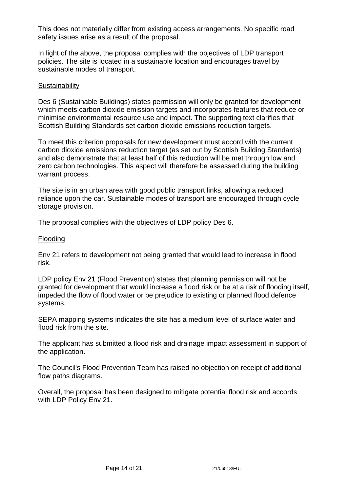This does not materially differ from existing access arrangements. No specific road safety issues arise as a result of the proposal.

In light of the above, the proposal complies with the objectives of LDP transport policies. The site is located in a sustainable location and encourages travel by sustainable modes of transport.

#### **Sustainability**

Des 6 (Sustainable Buildings) states permission will only be granted for development which meets carbon dioxide emission targets and incorporates features that reduce or minimise environmental resource use and impact. The supporting text clarifies that Scottish Building Standards set carbon dioxide emissions reduction targets.

To meet this criterion proposals for new development must accord with the current carbon dioxide emissions reduction target (as set out by Scottish Building Standards) and also demonstrate that at least half of this reduction will be met through low and zero carbon technologies. This aspect will therefore be assessed during the building warrant process.

The site is in an urban area with good public transport links, allowing a reduced reliance upon the car. Sustainable modes of transport are encouraged through cycle storage provision.

The proposal complies with the objectives of LDP policy Des 6.

#### Flooding

Env 21 refers to development not being granted that would lead to increase in flood risk.

LDP policy Env 21 (Flood Prevention) states that planning permission will not be granted for development that would increase a flood risk or be at a risk of flooding itself, impeded the flow of flood water or be prejudice to existing or planned flood defence systems.

SEPA mapping systems indicates the site has a medium level of surface water and flood risk from the site.

The applicant has submitted a flood risk and drainage impact assessment in support of the application.

The Council's Flood Prevention Team has raised no objection on receipt of additional flow paths diagrams.

Overall, the proposal has been designed to mitigate potential flood risk and accords with LDP Policy Env 21.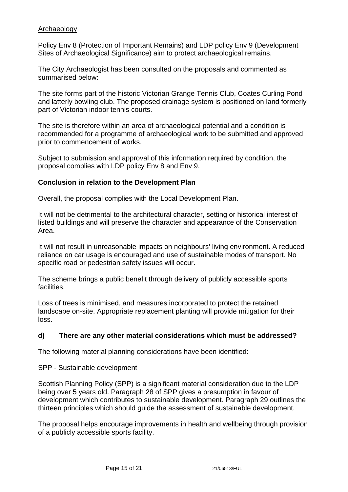### Archaeology

Policy Env 8 (Protection of Important Remains) and LDP policy Env 9 (Development Sites of Archaeological Significance) aim to protect archaeological remains.

The City Archaeologist has been consulted on the proposals and commented as summarised below:

The site forms part of the historic Victorian Grange Tennis Club, Coates Curling Pond and latterly bowling club. The proposed drainage system is positioned on land formerly part of Victorian indoor tennis courts.

The site is therefore within an area of archaeological potential and a condition is recommended for a programme of archaeological work to be submitted and approved prior to commencement of works.

Subject to submission and approval of this information required by condition, the proposal complies with LDP policy Env 8 and Env 9.

## **Conclusion in relation to the Development Plan**

Overall, the proposal complies with the Local Development Plan.

It will not be detrimental to the architectural character, setting or historical interest of listed buildings and will preserve the character and appearance of the Conservation Area.

It will not result in unreasonable impacts on neighbours' living environment. A reduced reliance on car usage is encouraged and use of sustainable modes of transport. No specific road or pedestrian safety issues will occur.

The scheme brings a public benefit through delivery of publicly accessible sports facilities.

Loss of trees is minimised, and measures incorporated to protect the retained landscape on-site. Appropriate replacement planting will provide mitigation for their loss.

## **d) There are any other material considerations which must be addressed?**

The following material planning considerations have been identified:

#### SPP - Sustainable development

Scottish Planning Policy (SPP) is a significant material consideration due to the LDP being over 5 years old. Paragraph 28 of SPP gives a presumption in favour of development which contributes to sustainable development. Paragraph 29 outlines the thirteen principles which should guide the assessment of sustainable development.

The proposal helps encourage improvements in health and wellbeing through provision of a publicly accessible sports facility.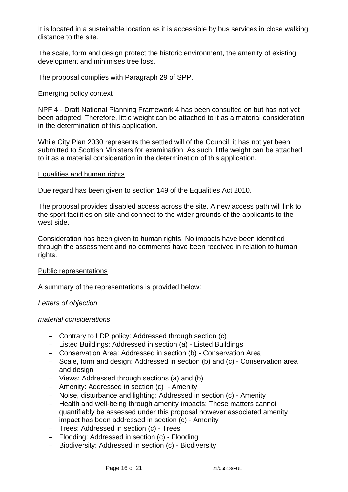It is located in a sustainable location as it is accessible by bus services in close walking distance to the site.

The scale, form and design protect the historic environment, the amenity of existing development and minimises tree loss.

The proposal complies with Paragraph 29 of SPP.

#### Emerging policy context

NPF 4 - Draft National Planning Framework 4 has been consulted on but has not yet been adopted. Therefore, little weight can be attached to it as a material consideration in the determination of this application.

While City Plan 2030 represents the settled will of the Council, it has not yet been submitted to Scottish Ministers for examination. As such, little weight can be attached to it as a material consideration in the determination of this application.

#### Equalities and human rights

Due regard has been given to section 149 of the Equalities Act 2010.

The proposal provides disabled access across the site. A new access path will link to the sport facilities on-site and connect to the wider grounds of the applicants to the west side.

Consideration has been given to human rights. No impacts have been identified through the assessment and no comments have been received in relation to human rights.

#### Public representations

A summary of the representations is provided below:

## *Letters of objection*

#### *material considerations*

- − Contrary to LDP policy: Addressed through section (c)
- − Listed Buildings: Addressed in section (a) Listed Buildings
- − Conservation Area: Addressed in section (b) Conservation Area
- − Scale, form and design: Addressed in section (b) and (c) Conservation area and design
- − Views: Addressed through sections (a) and (b)
- − Amenity: Addressed in section (c) Amenity
- − Noise, disturbance and lighting: Addressed in section (c) Amenity
- − Health and well-being through amenity impacts: These matters cannot quantifiably be assessed under this proposal however associated amenity impact has been addressed in section (c) - Amenity
- − Trees: Addressed in section (c) Trees
- − Flooding: Addressed in section (c) Flooding
- − Biodiversity: Addressed in section (c) Biodiversity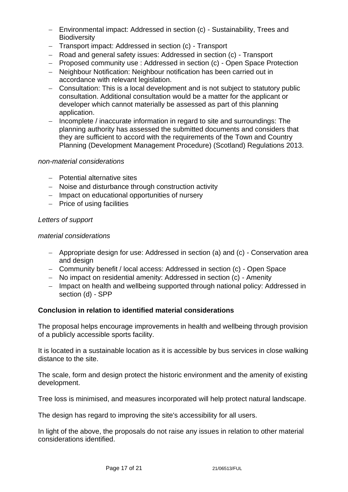- − Environmental impact: Addressed in section (c) Sustainability, Trees and **Biodiversity**
- − Transport impact: Addressed in section (c) Transport
- − Road and general safety issues: Addressed in section (c) Transport
- − Proposed community use : Addressed in section (c) Open Space Protection
- − Neighbour Notification: Neighbour notification has been carried out in accordance with relevant legislation.
- − Consultation: This is a local development and is not subject to statutory public consultation. Additional consultation would be a matter for the applicant or developer which cannot materially be assessed as part of this planning application.
- − Incomplete / inaccurate information in regard to site and surroundings: The planning authority has assessed the submitted documents and considers that they are sufficient to accord with the requirements of the Town and Country Planning (Development Management Procedure) (Scotland) Regulations 2013.

#### *non-material considerations*

- − Potential alternative sites
- − Noise and disturbance through construction activity
- − Impact on educational opportunities of nursery
- − Price of using facilities

#### *Letters of support*

#### *material considerations*

- − Appropriate design for use: Addressed in section (a) and (c) Conservation area and design
- − Community benefit / local access: Addressed in section (c) Open Space
- − No impact on residential amenity: Addressed in section (c) Amenity
- − Impact on health and wellbeing supported through national policy: Addressed in section (d) - SPP

## **Conclusion in relation to identified material considerations**

The proposal helps encourage improvements in health and wellbeing through provision of a publicly accessible sports facility.

It is located in a sustainable location as it is accessible by bus services in close walking distance to the site.

The scale, form and design protect the historic environment and the amenity of existing development.

Tree loss is minimised, and measures incorporated will help protect natural landscape.

The design has regard to improving the site's accessibility for all users.

In light of the above, the proposals do not raise any issues in relation to other material considerations identified.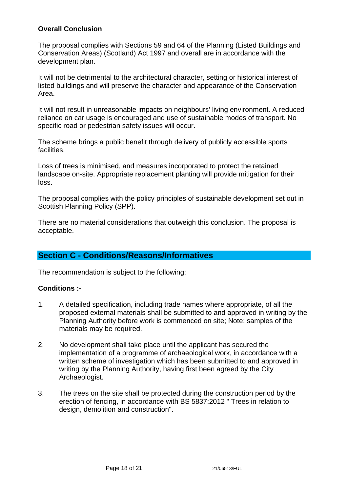## **Overall Conclusion**

The proposal complies with Sections 59 and 64 of the Planning (Listed Buildings and Conservation Areas) (Scotland) Act 1997 and overall are in accordance with the development plan.

It will not be detrimental to the architectural character, setting or historical interest of listed buildings and will preserve the character and appearance of the Conservation Area.

It will not result in unreasonable impacts on neighbours' living environment. A reduced reliance on car usage is encouraged and use of sustainable modes of transport. No specific road or pedestrian safety issues will occur.

The scheme brings a public benefit through delivery of publicly accessible sports facilities.

Loss of trees is minimised, and measures incorporated to protect the retained landscape on-site. Appropriate replacement planting will provide mitigation for their loss.

The proposal complies with the policy principles of sustainable development set out in Scottish Planning Policy (SPP).

There are no material considerations that outweigh this conclusion. The proposal is acceptable.

# **Section C - Conditions/Reasons/Informatives**

The recommendation is subject to the following;

## **Conditions :-**

- 1. A detailed specification, including trade names where appropriate, of all the proposed external materials shall be submitted to and approved in writing by the Planning Authority before work is commenced on site; Note: samples of the materials may be required.
- 2. No development shall take place until the applicant has secured the implementation of a programme of archaeological work, in accordance with a written scheme of investigation which has been submitted to and approved in writing by the Planning Authority, having first been agreed by the City Archaeologist.
- 3. The trees on the site shall be protected during the construction period by the erection of fencing, in accordance with BS 5837:2012 " Trees in relation to design, demolition and construction".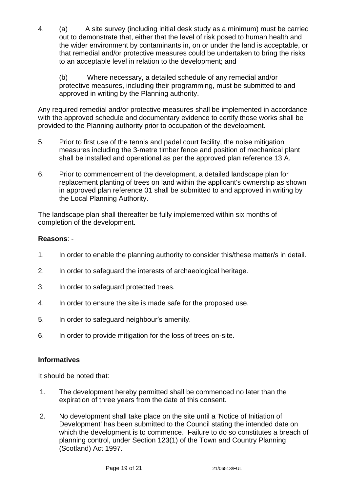4. (a) A site survey (including initial desk study as a minimum) must be carried out to demonstrate that, either that the level of risk posed to human health and the wider environment by contaminants in, on or under the land is acceptable, or that remedial and/or protective measures could be undertaken to bring the risks to an acceptable level in relation to the development; and

(b) Where necessary, a detailed schedule of any remedial and/or protective measures, including their programming, must be submitted to and approved in writing by the Planning authority.

Any required remedial and/or protective measures shall be implemented in accordance with the approved schedule and documentary evidence to certify those works shall be provided to the Planning authority prior to occupation of the development.

- 5. Prior to first use of the tennis and padel court facility, the noise mitigation measures including the 3-metre timber fence and position of mechanical plant shall be installed and operational as per the approved plan reference 13 A.
- 6. Prior to commencement of the development, a detailed landscape plan for replacement planting of trees on land within the applicant's ownership as shown in approved plan reference 01 shall be submitted to and approved in writing by the Local Planning Authority.

The landscape plan shall thereafter be fully implemented within six months of completion of the development.

## **Reasons**: -

- 1. In order to enable the planning authority to consider this/these matter/s in detail.
- 2. In order to safeguard the interests of archaeological heritage.
- 3. In order to safeguard protected trees.
- 4. In order to ensure the site is made safe for the proposed use.
- 5. In order to safeguard neighbour's amenity.
- 6. In order to provide mitigation for the loss of trees on-site.

# **Informatives**

It should be noted that:

- 1. The development hereby permitted shall be commenced no later than the expiration of three years from the date of this consent.
- 2. No development shall take place on the site until a 'Notice of Initiation of Development' has been submitted to the Council stating the intended date on which the development is to commence. Failure to do so constitutes a breach of planning control, under Section 123(1) of the Town and Country Planning (Scotland) Act 1997.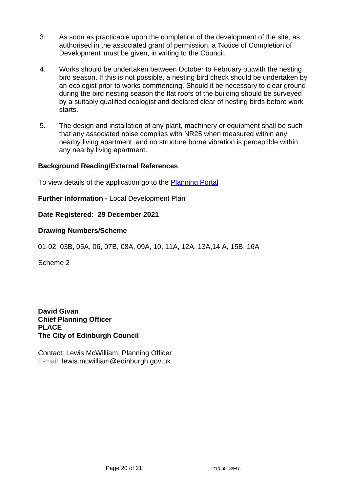- 3. As soon as practicable upon the completion of the development of the site, as authorised in the associated grant of permission, a 'Notice of Completion of Development' must be given, in writing to the Council.
- 4. Works should be undertaken between October to February outwith the nesting bird season. If this is not possible, a nesting bird check should be undertaken by an ecologist prior to works commencing. Should it be necessary to clear ground during the bird nesting season the flat roofs of the building should be surveyed by a suitably qualified ecologist and declared clear of nesting birds before work starts.
- 5. The design and installation of any plant, machinery or equipment shall be such that any associated noise complies with NR25 when measured within any nearby living apartment, and no structure borne vibration is perceptible within any nearby living apartment.

## **Background Reading/External References**

To view details of the application go to the [Planning Portal](https://citydev-portal.edinburgh.gov.uk/idoxpa-web/applicationDetails.do?activeTab=summary&keyVal=R41P65EWI1C00)

## **Further Information -** [Local Development Plan](https://www.edinburgh.gov.uk/local-development-plan-guidance-1/edinburgh-local-development-plan/1)

**Date Registered: 29 December 2021**

## **Drawing Numbers/Scheme**

01-02, 03B, 05A, 06, 07B, 08A, 09A, 10, 11A, 12A, 13A,14 A, 15B, 16A

Scheme 2

**David Givan Chief Planning Officer PLACE The City of Edinburgh Council**

Contact: Lewis McWilliam, Planning Officer E-mail: lewis.mcwilliam@edinburgh.gov.uk